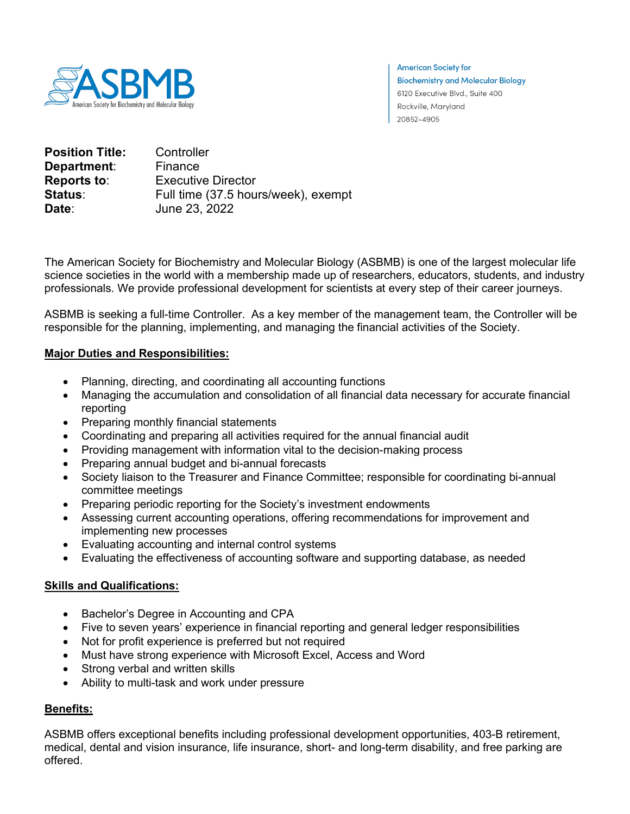

**American Society for Biochemistry and Molecular Biology** 6120 Executive Blvd., Suite 400 Rockville, Maryland 20852-4905

| <b>Position Title:</b> | Controller                          |
|------------------------|-------------------------------------|
| Department:            | Finance                             |
| <b>Reports to:</b>     | <b>Executive Director</b>           |
| <b>Status</b> :        | Full time (37.5 hours/week), exempt |
| Date:                  | June 23, 2022                       |

The American Society for Biochemistry and Molecular Biology (ASBMB) is one of the largest molecular life science societies in the world with a membership made up of researchers, educators, students, and industry professionals. We provide professional development for scientists at every step of their career journeys.

ASBMB is seeking a full-time Controller. As a key member of the management team, the Controller will be responsible for the planning, implementing, and managing the financial activities of the Society.

### **Major Duties and Responsibilities:**

- Planning, directing, and coordinating all accounting functions
- Managing the accumulation and consolidation of all financial data necessary for accurate financial reporting
- Preparing monthly financial statements
- Coordinating and preparing all activities required for the annual financial audit
- Providing management with information vital to the decision-making process
- Preparing annual budget and bi-annual forecasts
- Society liaison to the Treasurer and Finance Committee; responsible for coordinating bi-annual committee meetings
- Preparing periodic reporting for the Society's investment endowments
- Assessing current accounting operations, offering recommendations for improvement and implementing new processes
- Evaluating accounting and internal control systems
- Evaluating the effectiveness of accounting software and supporting database, as needed

### **Skills and Qualifications:**

- Bachelor's Degree in Accounting and CPA
- Five to seven years' experience in financial reporting and general ledger responsibilities
- Not for profit experience is preferred but not required
- Must have strong experience with Microsoft Excel, Access and Word
- Strong verbal and written skills
- Ability to multi-task and work under pressure

# **Benefits:**

ASBMB offers exceptional benefits including professional development opportunities, 403-B retirement, medical, dental and vision insurance, life insurance, short- and long-term disability, and free parking are offered.